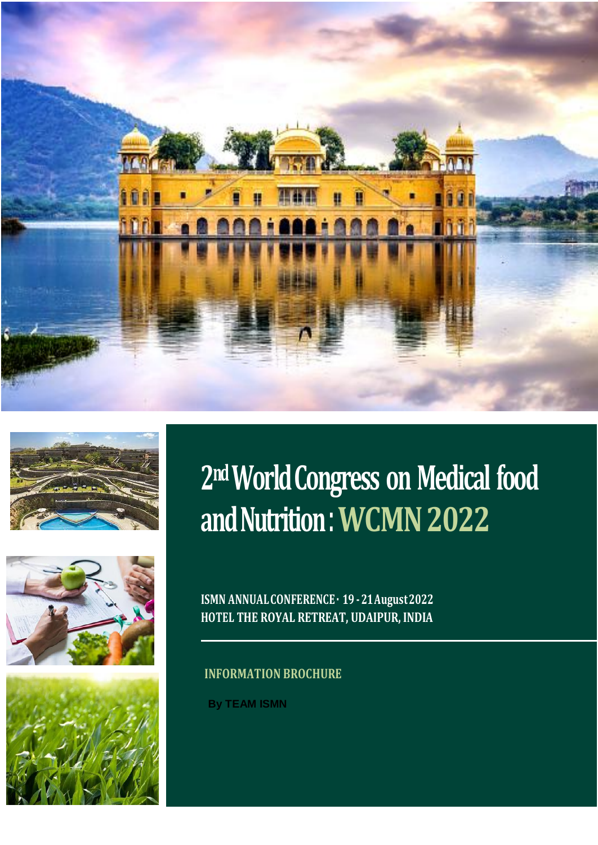







# **2ndWorld Congress on Medical food and Nutrition**: **WCMN 2022**

**ISMN ANNUALCONFERENCE· 19 -21August2022 HOTEL THE ROYAL RETREAT, UDAIPUR, INDIA** 

## **INFORMATION BROCHURE**

**By TEAM ISMN**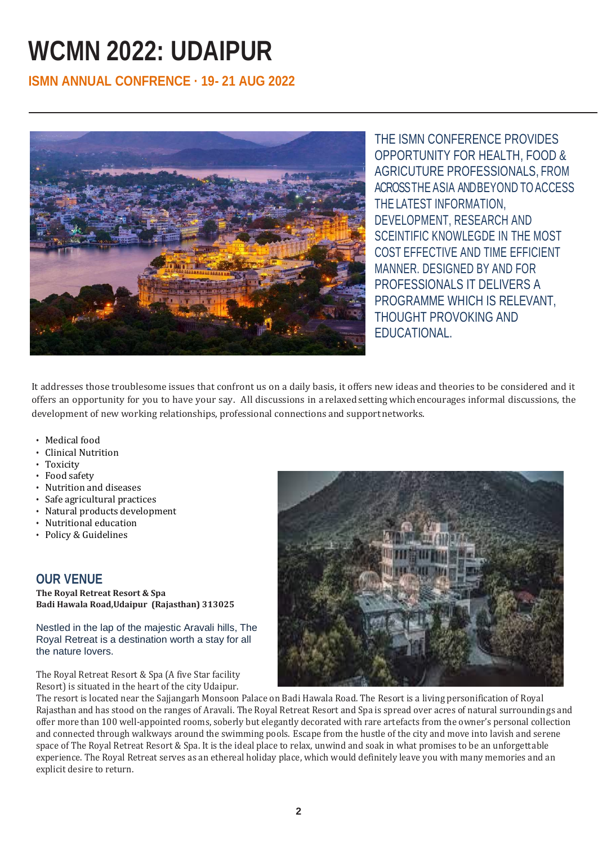## **WCMN 2022: UDAIPUR**

## **ISMN ANNUAL CONFRENCE · 19- 21 AUG 2022**



THE ISMN CONFERENCE PROVIDES OPPORTUNITY FOR HEALTH, FOOD & AGRICUTURE PROFESSIONALS, FROM ACROSSTHE ASIA ANDBEYOND TO ACCESS THE LATEST INFORMATION, DEVELOPMENT, RESEARCH AND SCEINTIFIC KNOWLEGDE IN THE MOST COST EFFECTIVE AND TIME EFFICIENT MANNER. DESIGNED BY AND FOR PROFESSIONALS IT DELIVERS A PROGRAMME WHICH IS RELEVANT, THOUGHT PROVOKING AND EDUCATIONAL.

It addresses those troublesome issues that confront us on a daily basis, it offers new ideas and theories to be considered and it offers an opportunity for you to have your say. All discussions in a relaxed settingwhichencourages informal discussions, the development of new working relationships, professional connections and supportnetworks.

- Medical food
- Clinical Nutrition
- Toxicity
- Food safety
- Nutrition and diseases
- Safe agricultural practices
- Natural products development
- Nutritional education
- Policy & Guidelines

## **OUR VENUE**

**The Royal Retreat Resort & Spa Badi Hawala Road,Udaipur (Rajasthan) 313025**

Nestled in the lap of the majestic Aravali hills, The Royal Retreat is a destination worth a stay for all the nature lovers.

The Royal Retreat Resort & Spa (A five Star facility Resort) is situated in the heart of the city Udaipur.



The resort is located near the Sajjangarh Monsoon Palace on Badi Hawala Road. The Resort is a living personification of Royal Rajasthan and has stood on the ranges of Aravali. The Royal Retreat Resort and Spa is spread over acres of natural surroundings and offer more than 100 well-appointed rooms, soberly but elegantly decorated with rare artefacts from the owner's personal collection and connected through walkways around the swimming pools. Escape from the hustle of the city and move into lavish and serene space of The Royal Retreat Resort & Spa. It is the ideal place to relax, unwind and soak in what promises to be an unforgettable experience. The Royal Retreat serves as an ethereal holiday place, which would definitely leave you with many memories and an explicit desire to return.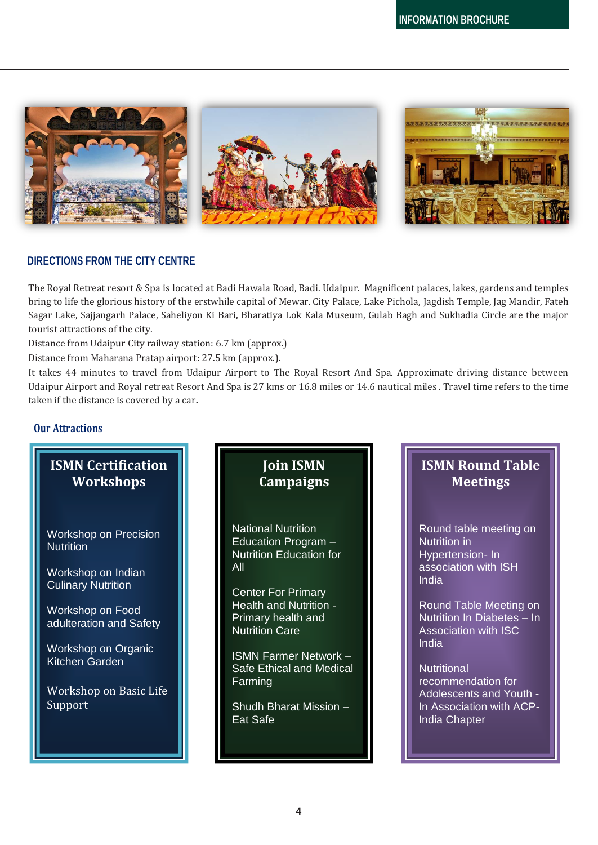

### **DIRECTIONS FROM THE CITY CENTRE**

The Royal Retreat resort & Spa is located at Badi Hawala Road, Badi. Udaipur. Magnificent palaces, lakes, gardens and temples bring to life the glorious history of the erstwhile capital of Mewar. City Palace, Lake Pichola, Jagdish Temple, Jag Mandir, Fateh Sagar Lake, Sajjangarh Palace, Saheliyon Ki Bari, Bharatiya Lok Kala Museum, Gulab Bagh and Sukhadia Circle are the major tourist attractions of the city.

Distance from Udaipur City railway station: 6.7 km (approx.)

Distance from Maharana Pratap airport: 27.5 km (approx.).

It takes 44 minutes to travel from Udaipur Airport to The Royal Resort And Spa. Approximate driving distance between Udaipur Airport and Royal retreat Resort And Spa is 27 kms or 16.8 miles or 14.6 nautical miles . Travel time refers to the time taken if the distance is covered by a car**.**

#### **Our Attractions**

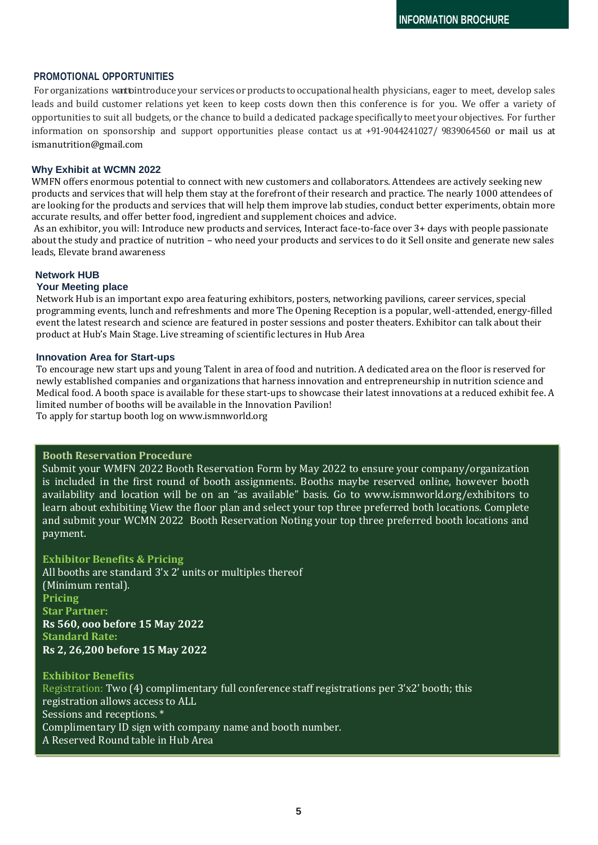#### **PROMOTIONAL OPPORTUNITIES**

For organizations want pintroduce your services or products to occupational health physicians, eager to meet, develop sales leads and build customer relations yet keen to keep costs down then this conference is for you. We offer a variety of opportunities to suit all budgets, or the chance to build a dedicated package specifically to meet your objectives. For further information on sponsorship and support opportunities please contact us at +91-9044241027/ 9839064560 or mail us at ismanutrition@gmail.com

#### **Why Exhibit at WCMN 2022**

WMFN offers enormous potential to connect with new customers and collaborators. Attendees are actively seeking new products and services that will help them stay at the forefront of their research and practice. The nearly 1000 attendees of are looking for the products and services that will help them improve lab studies, conduct better experiments, obtain more accurate results, and offer better food, ingredient and supplement choices and advice.

As an exhibitor, you will: Introduce new products and services, Interact face-to-face over 3+ days with people passionate about the study and practice of nutrition – who need your products and services to do it Sell onsite and generate new sales leads, Elevate brand awareness

#### **Network HUB**

#### **Your Meeting place**

Network Hub is an important expo area featuring exhibitors, posters, networking pavilions, career services, special programming events, lunch and refreshments and more The Opening Reception is a popular, well-attended, energy-filled event the latest research and science are featured in poster sessions and poster theaters. Exhibitor can talk about their product at Hub's Main Stage. Live streaming of scientific lectures in Hub Area

#### **Innovation Area for Start-ups**

To encourage new start ups and young Talent in area of food and nutrition. A dedicated area on the floor is reserved for newly established companies and organizations that harness innovation and entrepreneurship in nutrition science and Medical food. A booth space is available for these start-ups to showcase their latest innovations at a reduced exhibit fee. A limited number of booths will be available in the Innovation Pavilion! To apply for startup booth log on www.ismnworld.org

#### **Booth Reservation Procedure**

Submit your WMFN 2022 Booth Reservation Form by May 2022 to ensure your company/organization is included in the first round of booth assignments. Booths maybe reserved online, however booth availability and location will be on an "as available" basis. Go to www.ismnworld.org/exhibitors to learn about exhibiting View the floor plan and select your top three preferred both locations. Complete and submit your WCMN 2022 Booth Reservation Noting your top three preferred booth locations and payment.

#### **Exhibitor Benefits & Pricing**

All booths are standard 3'x 2' units or multiples thereof (Minimum rental). **Pricing Star Partner: Rs 560, ooo before 15 May 2022 Standard Rate: Rs 2, 26,200 before 15 May 2022**

**Exhibitor Benefits** Registration: Two (4) complimentary full conference staff registrations per 3'x2' booth; this registration allows access to ALL Sessions and receptions. \* Complimentary ID sign with company name and booth number. A Reserved Round table in Hub Area